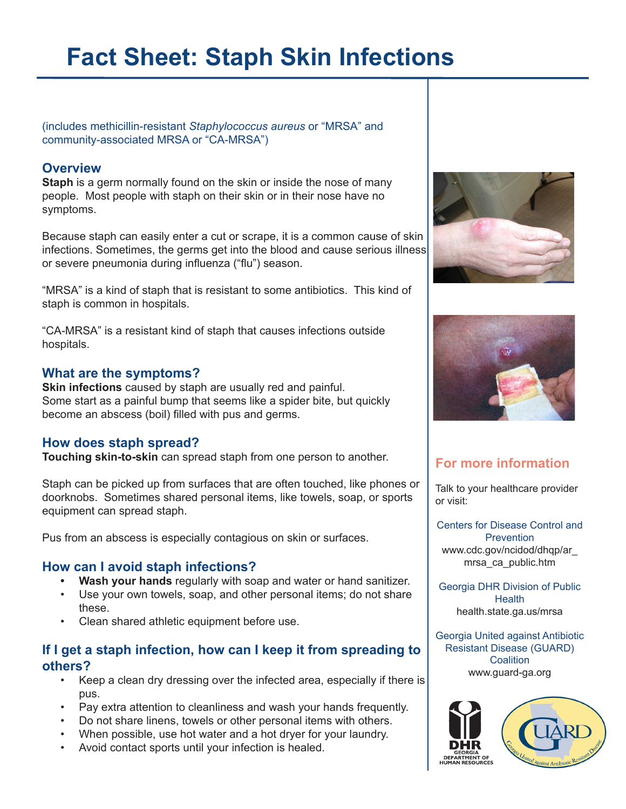# **Fact Sheet: Staph Skin Infections**

(includes methicillin-resistant *Staphylococcus aureus* or "MRSA" and community-associated MRSA or "CA-MRSA")

# **Overview**

**Staph** is a germ normally found on the skin or inside the nose of many people. Most people with staph on their skin or in their nose have no symptoms.

Because staph can easily enter a cut or scrape, it is a common cause of skin infections. Sometimes, the germs get into the blood and cause serious illness or severe pneumonia during influenza ("flu") season.

"MRSA" is a kind of staph that is resistant to some antibiotics. This kind of staph is common in hospitals.

"CA-MRSA" is a resistant kind of staph that causes infections outside hospitals.

# **What are the symptoms?**

**Skin infections** caused by staph are usually red and painful. Some start as a painful bump that seems like a spider bite, but quickly become an abscess (boil) filled with pus and germs.

# **How does staph spread?**

**Touching skin-to-skin** can spread staph from one person to another.

Staph can be picked up from surfaces that are often touched, like phones or doorknobs. Sometimes shared personal items, like towels, soap, or sports equipment can spread staph.

Pus from an abscess is especially contagious on skin or surfaces.

## **How can I avoid staph infections?**

- **• Wash your hands** regularly with soap and water or hand sanitizer.
- Use your own towels, soap, and other personal items; do not share these.
- Clean shared athletic equipment before use.

# **If I get a staph infection, how can I keep it from spreading to others?**

- Keep a clean dry dressing over the infected area, especially if there is pus.
- Pay extra attention to cleanliness and wash your hands frequently.
- Do not share linens, towels or other personal items with others.
- When possible, use hot water and a hot dryer for your laundry.
- Avoid contact sports until your infection is healed.





# **For more information**

Talk to your healthcare provider or visit:

Centers for Disease Control and **Prevention** www.cdc.gov/ncidod/dhqp/ar\_ mrsa\_ca\_public.htm

Georgia DHR Division of Public **Health** health.state.ga.us/mrsa

Georgia United against Antibiotic Resistant Disease (GUARD) **Coalition** www.guard-ga.org